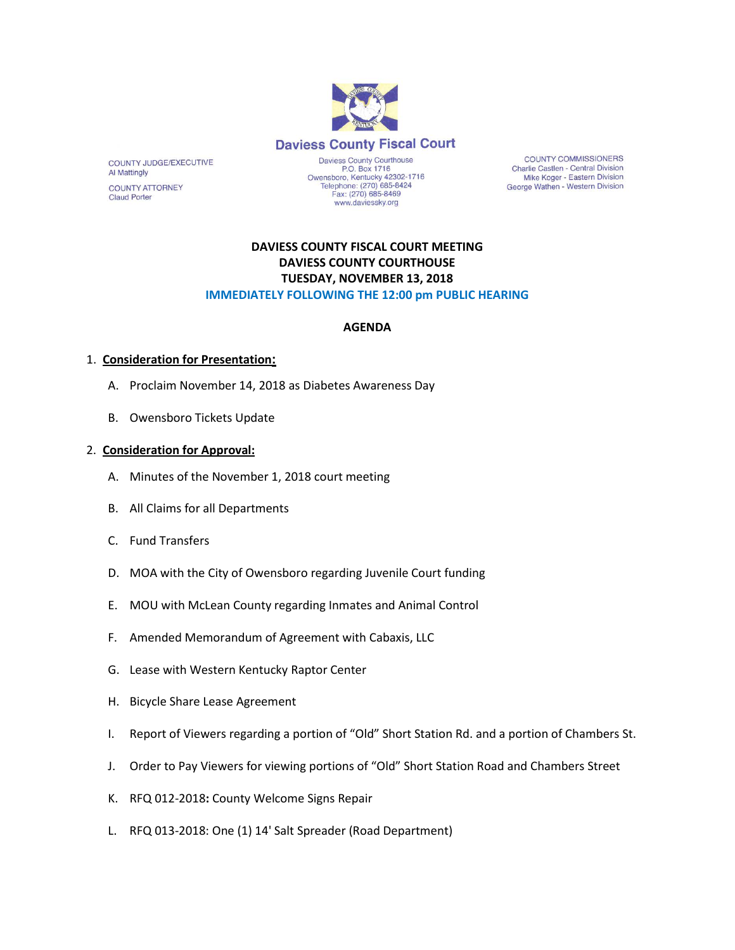

**COUNTY COMMISSIONERS** Charlie Castlen - Central Division Mike Koger - Eastern Division George Wathen - Western Division

## **DAVIESS COUNTY FISCAL COURT MEETING DAVIESS COUNTY COURTHOUSE TUESDAY, NOVEMBER 13, 2018 IMMEDIATELY FOLLOWING THE 12:00 pm PUBLIC HEARING**

www.daviessky.org

#### **AGENDA**

#### 1. **Consideration for Presentation:**

COUNTY JUDGE/EXECUTIVE

**COUNTY ATTORNEY Claud Porter** 

**Al Mattingly** 

- A. Proclaim November 14, 2018 as Diabetes Awareness Day
- B. Owensboro Tickets Update

#### 2. **Consideration for Approval:**

- A. Minutes of the November 1, 2018 court meeting
- B. All Claims for all Departments
- C. Fund Transfers
- D. MOA with the City of Owensboro regarding Juvenile Court funding
- E. MOU with McLean County regarding Inmates and Animal Control
- F. Amended Memorandum of Agreement with Cabaxis, LLC
- G. Lease with Western Kentucky Raptor Center
- H. Bicycle Share Lease Agreement
- I. Report of Viewers regarding a portion of "Old" Short Station Rd. and a portion of Chambers St.
- J. Order to Pay Viewers for viewing portions of "Old" Short Station Road and Chambers Street
- K. RFQ 012-2018**:** County Welcome Signs Repair
- L. RFQ 013-2018: One (1) 14' Salt Spreader (Road Department)